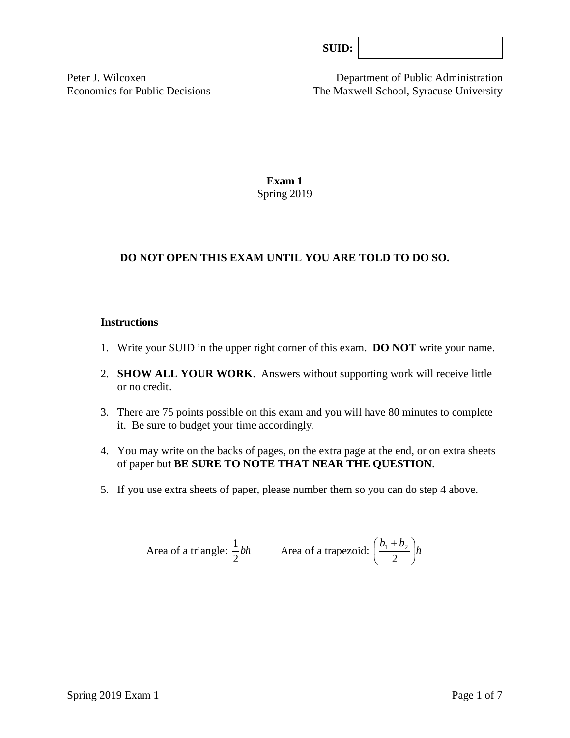Peter J. Wilcoxen Department of Public Administration Economics for Public Decisions The Maxwell School, Syracuse University

> **Exam 1** Spring 2019

# **DO NOT OPEN THIS EXAM UNTIL YOU ARE TOLD TO DO SO.**

#### **Instructions**

- 1. Write your SUID in the upper right corner of this exam. **DO NOT** write your name.
- 2. **SHOW ALL YOUR WORK**. Answers without supporting work will receive little or no credit.
- 3. There are 75 points possible on this exam and you will have 80 minutes to complete it. Be sure to budget your time accordingly.
- 4. You may write on the backs of pages, on the extra page at the end, or on extra sheets of paper but **BE SURE TO NOTE THAT NEAR THE QUESTION**.
- 5. If you use extra sheets of paper, please number them so you can do step 4 above.

Area of a triangle: 
$$
\frac{1}{2}bh
$$
 Area of a trapezoid:  $\left(\frac{b_1 + b_2}{2}\right)h$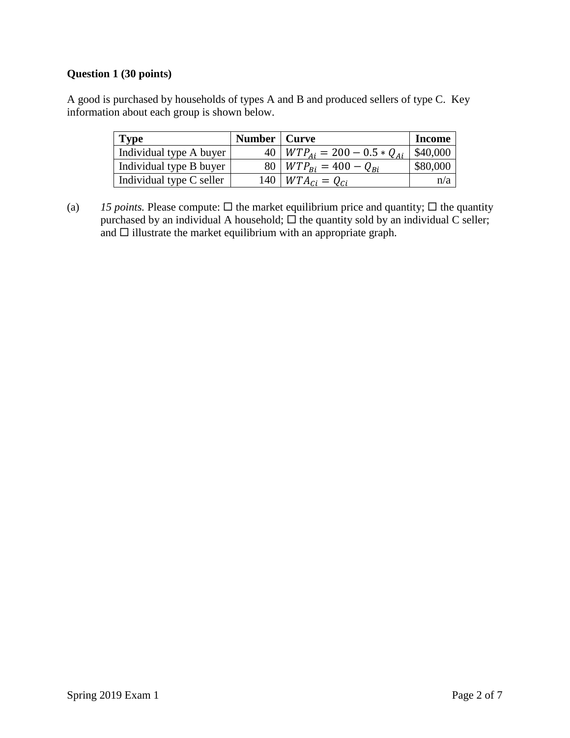## **Question 1 (30 points)**

A good is purchased by households of types A and B and produced sellers of type C. Key information about each group is shown below.

| <b>Type</b>              | Number   Curve |                                      | <b>Income</b> |
|--------------------------|----------------|--------------------------------------|---------------|
| Individual type A buyer  |                | 40   $WTP_{Ai} = 200 - 0.5 * Q_{Ai}$ | \$40,000      |
| Individual type B buyer  |                | 80   $WTP_{Bi} = 400 - Q_{Bi}$       | \$80,000      |
| Individual type C seller |                | 140   $WTA_{Ci} = Q_{Ci}$            | n/a           |

(a) 15 *points*. Please compute:  $\Box$  the market equilibrium price and quantity;  $\Box$  the quantity purchased by an individual A household;  $\Box$  the quantity sold by an individual C seller; and  $\square$  illustrate the market equilibrium with an appropriate graph.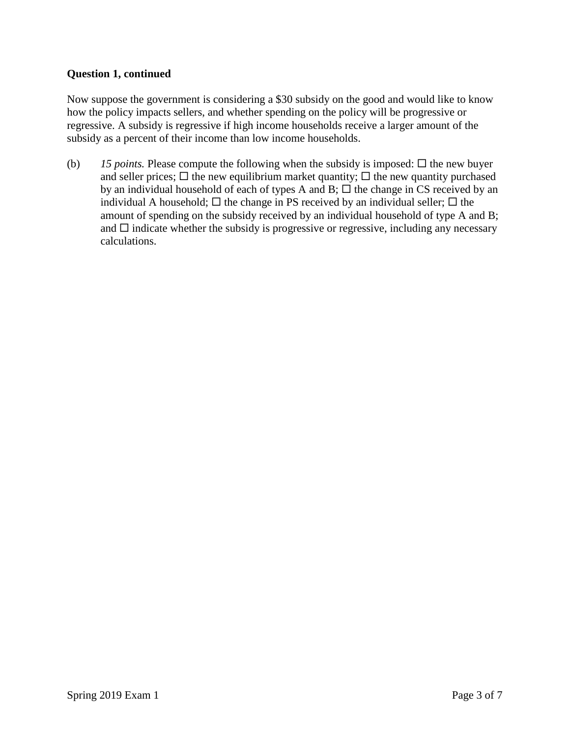### **Question 1, continued**

Now suppose the government is considering a \$30 subsidy on the good and would like to know how the policy impacts sellers, and whether spending on the policy will be progressive or regressive. A subsidy is regressive if high income households receive a larger amount of the subsidy as a percent of their income than low income households.

(b) 15 *points*. Please compute the following when the subsidy is imposed:  $\Box$  the new buyer and seller prices;  $\Box$  the new equilibrium market quantity;  $\Box$  the new quantity purchased by an individual household of each of types A and B;  $\Box$  the change in CS received by an individual A household;  $\Box$  the change in PS received by an individual seller;  $\Box$  the amount of spending on the subsidy received by an individual household of type A and B; and  $\Box$  indicate whether the subsidy is progressive or regressive, including any necessary calculations.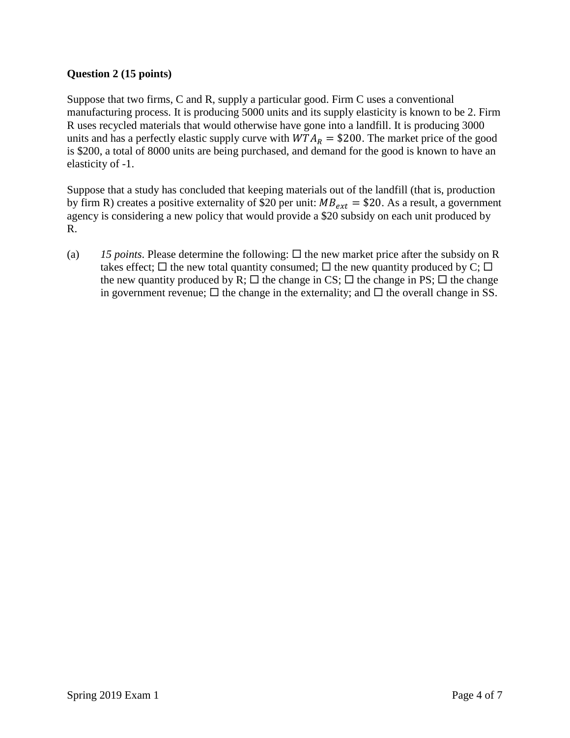# **Question 2 (15 points)**

Suppose that two firms, C and R, supply a particular good. Firm C uses a conventional manufacturing process. It is producing 5000 units and its supply elasticity is known to be 2. Firm R uses recycled materials that would otherwise have gone into a landfill. It is producing 3000 units and has a perfectly elastic supply curve with  $WTA_R = $200$ . The market price of the good is \$200, a total of 8000 units are being purchased, and demand for the good is known to have an elasticity of -1.

Suppose that a study has concluded that keeping materials out of the landfill (that is, production by firm R) creates a positive externality of \$20 per unit:  $MB_{ext} = $20$ . As a result, a government agency is considering a new policy that would provide a \$20 subsidy on each unit produced by R.

(a) 15 *points*. Please determine the following:  $\Box$  the new market price after the subsidy on R takes effect;  $\Box$  the new total quantity consumed;  $\Box$  the new quantity produced by C;  $\Box$ the new quantity produced by R;  $\Box$  the change in CS;  $\Box$  the change in PS;  $\Box$  the change in government revenue;  $\Box$  the change in the externality; and  $\Box$  the overall change in SS.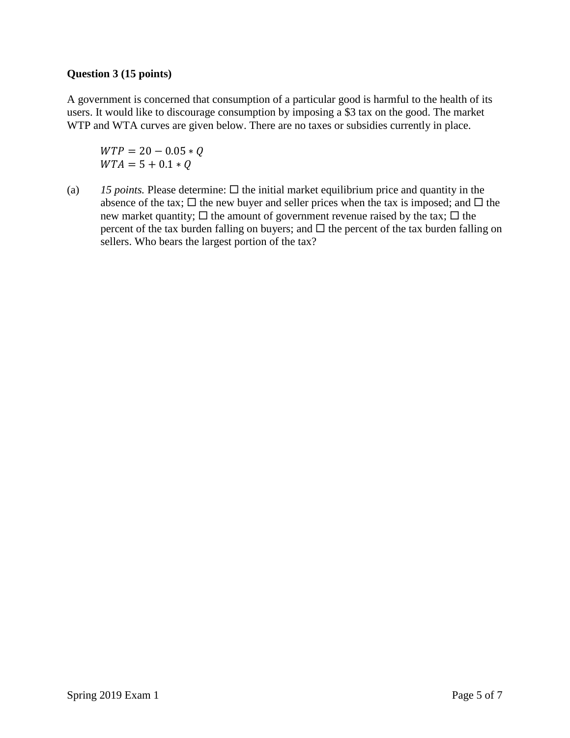### **Question 3 (15 points)**

A government is concerned that consumption of a particular good is harmful to the health of its users. It would like to discourage consumption by imposing a \$3 tax on the good. The market WTP and WTA curves are given below. There are no taxes or subsidies currently in place.

 $WTP = 20 - 0.05 * Q$  $WTA = 5 + 0.1 * O$ 

(a)  $15$  *points.* Please determine:  $\Box$  the initial market equilibrium price and quantity in the absence of the tax;  $\Box$  the new buyer and seller prices when the tax is imposed; and  $\Box$  the new market quantity;  $\Box$  the amount of government revenue raised by the tax;  $\Box$  the percent of the tax burden falling on buyers; and  $\Box$  the percent of the tax burden falling on sellers. Who bears the largest portion of the tax?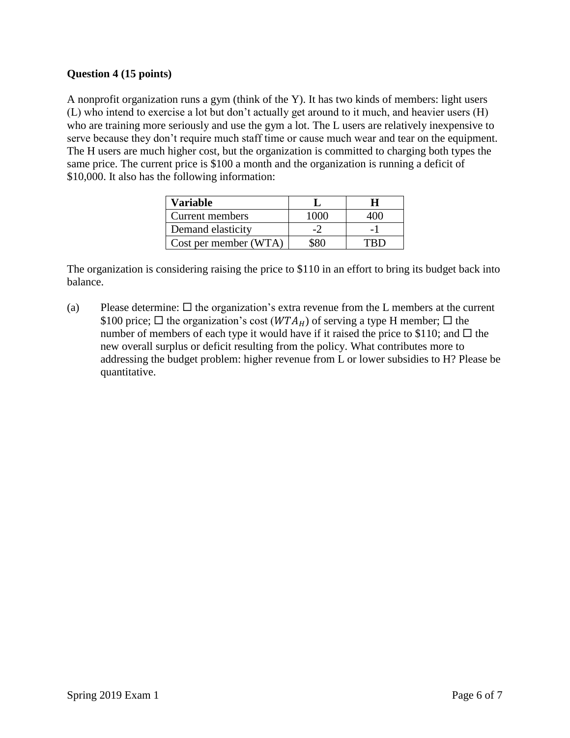# **Question 4 (15 points)**

A nonprofit organization runs a gym (think of the Y). It has two kinds of members: light users (L) who intend to exercise a lot but don't actually get around to it much, and heavier users (H) who are training more seriously and use the gym a lot. The L users are relatively inexpensive to serve because they don't require much staff time or cause much wear and tear on the equipment. The H users are much higher cost, but the organization is committed to charging both types the same price. The current price is \$100 a month and the organization is running a deficit of \$10,000. It also has the following information:

| Variable              |  |
|-----------------------|--|
| Current members       |  |
| Demand elasticity     |  |
| Cost per member (WTA) |  |

The organization is considering raising the price to \$110 in an effort to bring its budget back into balance.

(a) Please determine:  $\Box$  the organization's extra revenue from the L members at the current \$100 price;  $\Box$  the organization's cost ( $WTA_H$ ) of serving a type H member;  $\Box$  the number of members of each type it would have if it raised the price to \$110; and  $\Box$  the new overall surplus or deficit resulting from the policy. What contributes more to addressing the budget problem: higher revenue from L or lower subsidies to H? Please be quantitative.